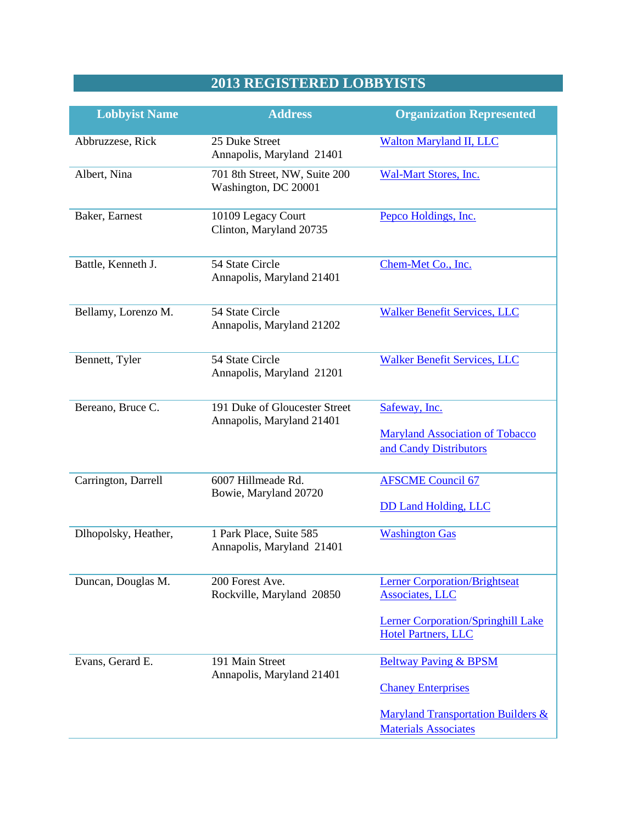## **2013 REGISTERED LOBBYISTS**

| <b>Lobbyist Name</b> | <b>Address</b>                                             | <b>Organization Represented</b>                                                   |
|----------------------|------------------------------------------------------------|-----------------------------------------------------------------------------------|
| Abbruzzese, Rick     | 25 Duke Street<br>Annapolis, Maryland 21401                | <b>Walton Maryland II, LLC</b>                                                    |
| Albert, Nina         | 701 8th Street, NW, Suite 200<br>Washington, DC 20001      | <b>Wal-Mart Stores, Inc.</b>                                                      |
| Baker, Earnest       | 10109 Legacy Court<br>Clinton, Maryland 20735              | Pepco Holdings, Inc.                                                              |
| Battle, Kenneth J.   | 54 State Circle<br>Annapolis, Maryland 21401               | Chem-Met Co., Inc.                                                                |
| Bellamy, Lorenzo M.  | 54 State Circle<br>Annapolis, Maryland 21202               | <b>Walker Benefit Services, LLC</b>                                               |
| Bennett, Tyler       | 54 State Circle<br>Annapolis, Maryland 21201               | <b>Walker Benefit Services, LLC</b>                                               |
| Bereano, Bruce C.    | 191 Duke of Gloucester Street<br>Annapolis, Maryland 21401 | Safeway, Inc.<br><b>Maryland Association of Tobacco</b><br>and Candy Distributors |
| Carrington, Darrell  | 6007 Hillmeade Rd.<br>Bowie, Maryland 20720                | <b>AFSCME Council 67</b><br><b>DD Land Holding, LLC</b>                           |
| Dlhopolsky, Heather, | 1 Park Place, Suite 585<br>Annapolis, Maryland 21401       | <b>Washington Gas</b>                                                             |
| Duncan, Douglas M.   | 200 Forest Ave.<br>Rockville, Maryland 20850               | <b>Lerner Corporation/Brightseat</b><br><b>Associates</b> , LLC                   |
|                      |                                                            | <b>Lerner Corporation/Springhill Lake</b><br><b>Hotel Partners, LLC</b>           |
| Evans, Gerard E.     | 191 Main Street<br>Annapolis, Maryland 21401               | <b>Beltway Paving &amp; BPSM</b><br><b>Chaney Enterprises</b>                     |
|                      |                                                            | <b>Maryland Transportation Builders &amp;</b><br><b>Materials Associates</b>      |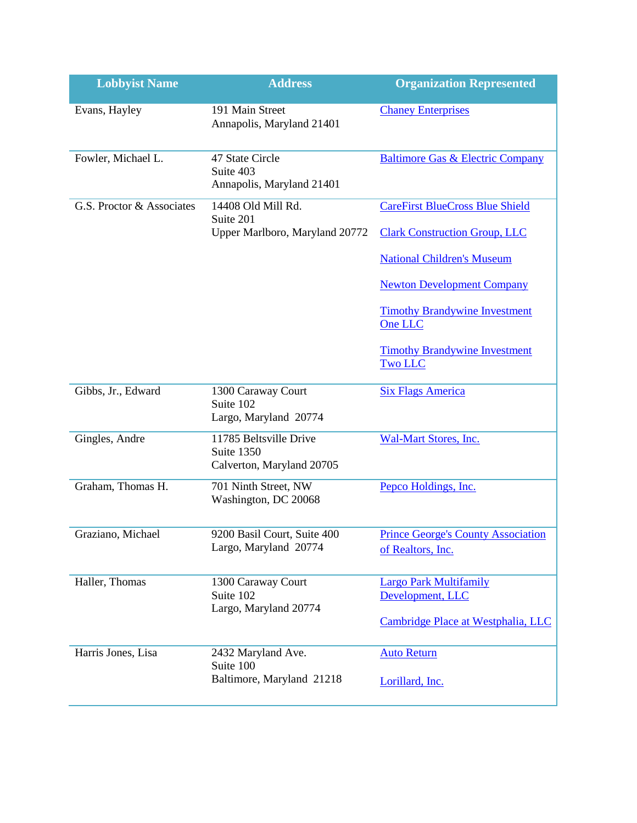| <b>Lobbyist Name</b>      | <b>Address</b>                                                    | <b>Organization Represented</b>                                |
|---------------------------|-------------------------------------------------------------------|----------------------------------------------------------------|
| Evans, Hayley             | 191 Main Street<br>Annapolis, Maryland 21401                      | <b>Chaney Enterprises</b>                                      |
| Fowler, Michael L.        | 47 State Circle<br>Suite 403<br>Annapolis, Maryland 21401         | <b>Baltimore Gas &amp; Electric Company</b>                    |
| G.S. Proctor & Associates | 14408 Old Mill Rd.<br>Suite 201<br>Upper Marlboro, Maryland 20772 | <b>CareFirst BlueCross Blue Shield</b>                         |
|                           |                                                                   | <b>Clark Construction Group, LLC</b>                           |
|                           |                                                                   | <b>National Children's Museum</b>                              |
|                           |                                                                   | <b>Newton Development Company</b>                              |
|                           |                                                                   | <b>Timothy Brandywine Investment</b><br>One LLC                |
|                           |                                                                   | <b>Timothy Brandywine Investment</b><br><b>Two LLC</b>         |
| Gibbs, Jr., Edward        | 1300 Caraway Court<br>Suite 102<br>Largo, Maryland 20774          | <b>Six Flags America</b>                                       |
| Gingles, Andre            | 11785 Beltsville Drive<br>Suite 1350<br>Calverton, Maryland 20705 | <b>Wal-Mart Stores, Inc.</b>                                   |
| Graham, Thomas H.         | 701 Ninth Street, NW<br>Washington, DC 20068                      | Pepco Holdings, Inc.                                           |
| Graziano, Michael         | 9200 Basil Court, Suite 400<br>Largo, Maryland 20774              | <b>Prince George's County Association</b><br>of Realtors, Inc. |
| Haller, Thomas            | 1300 Caraway Court<br>Suite 102                                   | <b>Largo Park Multifamily</b><br>Development, LLC              |
|                           | Largo, Maryland 20774                                             | Cambridge Place at Westphalia, LLC                             |
| Harris Jones, Lisa        | 2432 Maryland Ave.<br>Suite 100                                   | <b>Auto Return</b>                                             |
|                           | Baltimore, Maryland 21218                                         | Lorillard, Inc.                                                |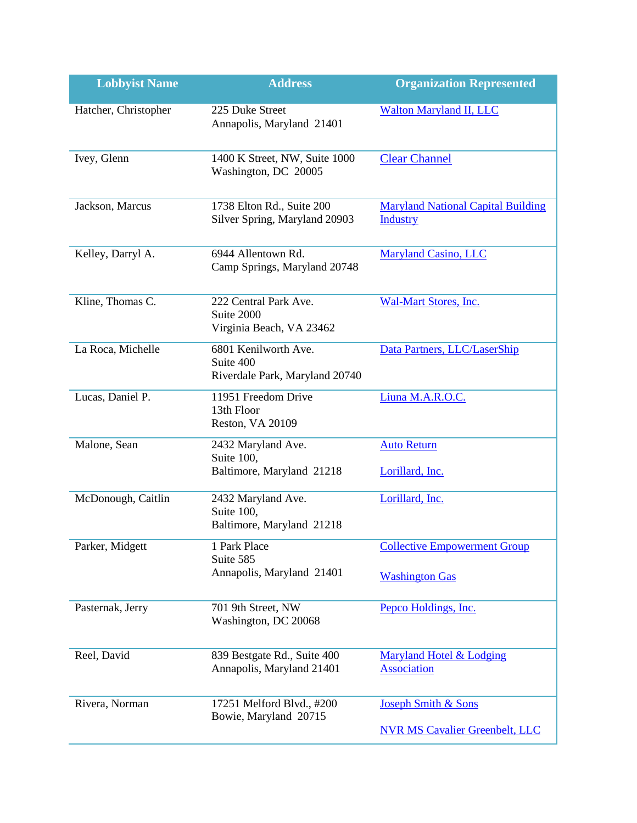| <b>Lobbyist Name</b> | <b>Address</b>                                                      | <b>Organization Represented</b>                              |
|----------------------|---------------------------------------------------------------------|--------------------------------------------------------------|
| Hatcher, Christopher | 225 Duke Street<br>Annapolis, Maryland 21401                        | <b>Walton Maryland II, LLC</b>                               |
| Ivey, Glenn          | 1400 K Street, NW, Suite 1000<br>Washington, DC 20005               | <b>Clear Channel</b>                                         |
| Jackson, Marcus      | 1738 Elton Rd., Suite 200<br>Silver Spring, Maryland 20903          | <b>Maryland National Capital Building</b><br><b>Industry</b> |
| Kelley, Darryl A.    | 6944 Allentown Rd.<br>Camp Springs, Maryland 20748                  | <b>Maryland Casino, LLC</b>                                  |
| Kline, Thomas C.     | 222 Central Park Ave.<br>Suite 2000<br>Virginia Beach, VA 23462     | Wal-Mart Stores, Inc.                                        |
| La Roca, Michelle    | 6801 Kenilworth Ave.<br>Suite 400<br>Riverdale Park, Maryland 20740 | Data Partners, LLC/LaserShip                                 |
| Lucas, Daniel P.     | 11951 Freedom Drive<br>13th Floor<br><b>Reston, VA 20109</b>        | Liuna M.A.R.O.C.                                             |
| Malone, Sean         | 2432 Maryland Ave.<br>Suite 100,<br>Baltimore, Maryland 21218       | <b>Auto Return</b><br>Lorillard, Inc.                        |
| McDonough, Caitlin   | 2432 Maryland Ave.<br>Suite 100,<br>Baltimore, Maryland 21218       | Lorillard, Inc.                                              |
| Parker, Midgett      | 1 Park Place<br>Suite 585<br>Annapolis, Maryland 21401              | <b>Collective Empowerment Group</b><br><b>Washington Gas</b> |
| Pasternak, Jerry     | 701 9th Street, NW<br>Washington, DC 20068                          | Pepco Holdings, Inc.                                         |
| Reel, David          | 839 Bestgate Rd., Suite 400<br>Annapolis, Maryland 21401            | Maryland Hotel & Lodging<br><b>Association</b>               |
| Rivera, Norman       | 17251 Melford Blvd., #200<br>Bowie, Maryland 20715                  | <b>Joseph Smith &amp; Sons</b>                               |
|                      |                                                                     | <b>NVR MS Cavalier Greenbelt, LLC</b>                        |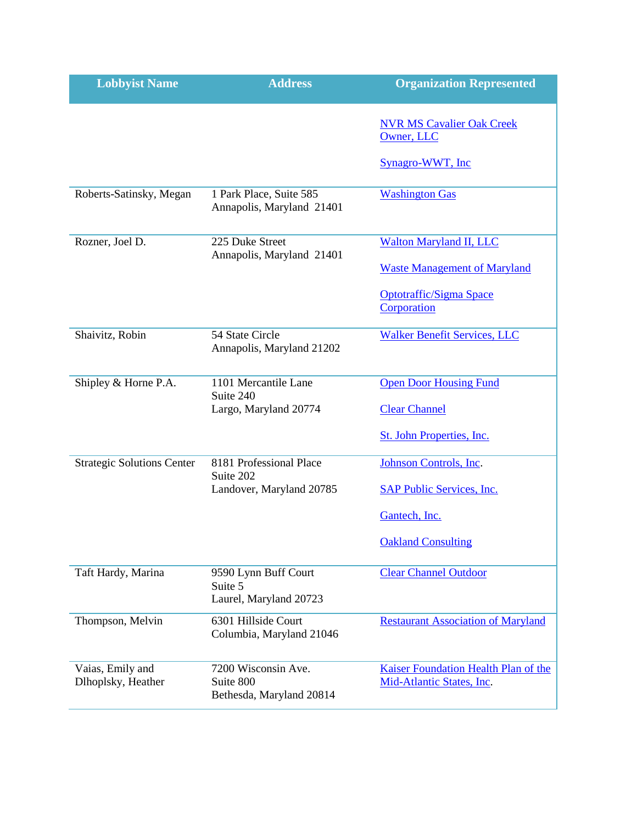| <b>Lobbyist Name</b>                   | <b>Address</b>                                               | <b>Organization Represented</b>                                   |
|----------------------------------------|--------------------------------------------------------------|-------------------------------------------------------------------|
|                                        |                                                              | <b>NVR MS Cavalier Oak Creek</b><br>Owner, LLC                    |
|                                        |                                                              | Synagro-WWT, Inc                                                  |
| Roberts-Satinsky, Megan                | 1 Park Place, Suite 585<br>Annapolis, Maryland 21401         | <b>Washington Gas</b>                                             |
| Rozner, Joel D.                        | 225 Duke Street<br>Annapolis, Maryland 21401                 | <b>Walton Maryland II, LLC</b>                                    |
|                                        |                                                              | <b>Waste Management of Maryland</b>                               |
|                                        |                                                              | <b>Optotraffic/Sigma Space</b><br>Corporation                     |
| Shaivitz, Robin                        | 54 State Circle<br>Annapolis, Maryland 21202                 | <b>Walker Benefit Services, LLC</b>                               |
| Shipley & Horne P.A.                   | 1101 Mercantile Lane<br>Suite 240                            | <b>Open Door Housing Fund</b>                                     |
|                                        | Largo, Maryland 20774                                        | <b>Clear Channel</b>                                              |
|                                        |                                                              | St. John Properties, Inc.                                         |
| <b>Strategic Solutions Center</b>      | 8181 Professional Place<br>Suite 202                         | Johnson Controls, Inc.                                            |
|                                        | Landover, Maryland 20785                                     | <b>SAP Public Services, Inc.</b>                                  |
|                                        |                                                              | Gantech, Inc.                                                     |
|                                        |                                                              | <b>Oakland Consulting</b>                                         |
| Taft Hardy, Marina                     | 9590 Lynn Buff Court<br>Suite 5<br>Laurel, Maryland 20723    | <b>Clear Channel Outdoor</b>                                      |
| Thompson, Melvin                       | 6301 Hillside Court<br>Columbia, Maryland 21046              | <b>Restaurant Association of Maryland</b>                         |
| Vaias, Emily and<br>Dlhoplsky, Heather | 7200 Wisconsin Ave.<br>Suite 800<br>Bethesda, Maryland 20814 | Kaiser Foundation Health Plan of the<br>Mid-Atlantic States, Inc. |